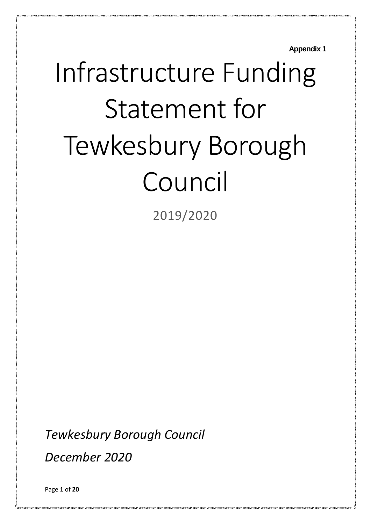**Appendix 1**

# Infrastructure Funding Statement for Tewkesbury Borough Council

2019/2020

*Tewkesbury Borough Council*

*December 2020*

Page **1** of **20**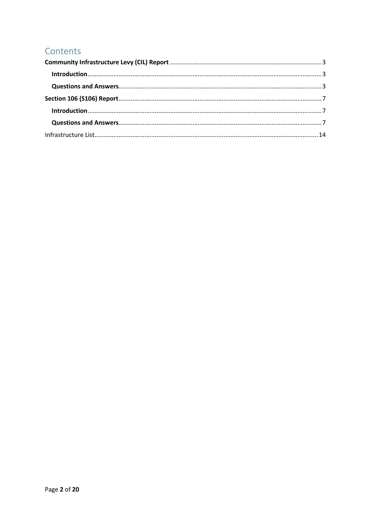## Contents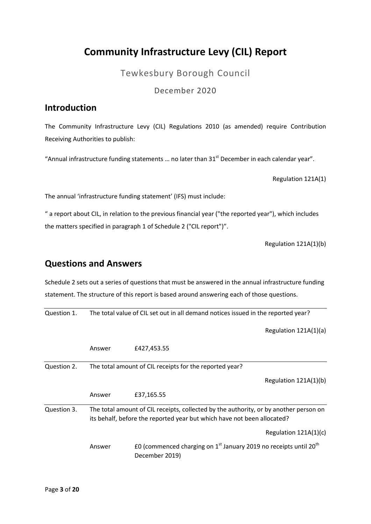## <span id="page-2-0"></span>**Community Infrastructure Levy (CIL) Report**

Tewkesbury Borough Council

December 2020

#### <span id="page-2-1"></span>**Introduction**

The Community Infrastructure Levy (CIL) Regulations 2010 (as amended) require Contribution Receiving Authorities to publish:

"Annual infrastructure funding statements ... no later than  $31<sup>st</sup>$  December in each calendar year".

Regulation 121A(1)

The annual 'infrastructure funding statement' (IFS) must include:

" a report about CIL, in relation to the previous financial year ("the reported year"), which includes the matters specified in paragraph 1 of Schedule 2 ("CIL report")".

Regulation 121A(1)(b)

#### <span id="page-2-2"></span>**Questions and Answers**

Schedule 2 sets out a series of questions that must be answered in the annual infrastructure funding statement. The structure of this report is based around answering each of those questions.

Question 1. The total value of CIL set out in all demand notices issued in the reported year?

Regulation 121A(1)(a)

|             | Answer | £427,453.55                                                                                                                                                      |
|-------------|--------|------------------------------------------------------------------------------------------------------------------------------------------------------------------|
| Question 2. |        | The total amount of CIL receipts for the reported year?                                                                                                          |
|             |        | Regulation 121A(1)(b)                                                                                                                                            |
|             | Answer | £37,165.55                                                                                                                                                       |
| Question 3. |        | The total amount of CIL receipts, collected by the authority, or by another person on<br>its behalf, before the reported year but which have not been allocated? |
|             |        | Regulation $121A(1)(c)$                                                                                                                                          |
|             | Answer | £0 (commenced charging on $1st$ January 2019 no receipts until 20 <sup>th</sup><br>December 2019)                                                                |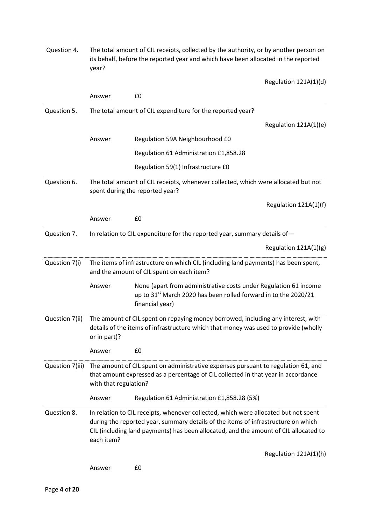| Question 4.                                                                                                                                      | The total amount of CIL receipts, collected by the authority, or by another person on<br>its behalf, before the reported year and which have been allocated in the reported<br>year? |                                                                                                                                                                                                                                                                  |  |  |  |
|--------------------------------------------------------------------------------------------------------------------------------------------------|--------------------------------------------------------------------------------------------------------------------------------------------------------------------------------------|------------------------------------------------------------------------------------------------------------------------------------------------------------------------------------------------------------------------------------------------------------------|--|--|--|
|                                                                                                                                                  |                                                                                                                                                                                      | Regulation 121A(1)(d)                                                                                                                                                                                                                                            |  |  |  |
|                                                                                                                                                  | Answer                                                                                                                                                                               | £0                                                                                                                                                                                                                                                               |  |  |  |
| Question 5.                                                                                                                                      |                                                                                                                                                                                      | The total amount of CIL expenditure for the reported year?                                                                                                                                                                                                       |  |  |  |
|                                                                                                                                                  |                                                                                                                                                                                      | Regulation 121A(1)(e)                                                                                                                                                                                                                                            |  |  |  |
|                                                                                                                                                  | Answer                                                                                                                                                                               | Regulation 59A Neighbourhood £0                                                                                                                                                                                                                                  |  |  |  |
|                                                                                                                                                  |                                                                                                                                                                                      | Regulation 61 Administration £1,858.28                                                                                                                                                                                                                           |  |  |  |
|                                                                                                                                                  |                                                                                                                                                                                      | Regulation 59(1) Infrastructure £0                                                                                                                                                                                                                               |  |  |  |
| Question 6.                                                                                                                                      |                                                                                                                                                                                      | The total amount of CIL receipts, whenever collected, which were allocated but not<br>spent during the reported year?                                                                                                                                            |  |  |  |
|                                                                                                                                                  |                                                                                                                                                                                      | Regulation 121A(1)(f)                                                                                                                                                                                                                                            |  |  |  |
|                                                                                                                                                  | Answer                                                                                                                                                                               | £0                                                                                                                                                                                                                                                               |  |  |  |
| Question 7.                                                                                                                                      |                                                                                                                                                                                      | In relation to CIL expenditure for the reported year, summary details of-                                                                                                                                                                                        |  |  |  |
|                                                                                                                                                  |                                                                                                                                                                                      | Regulation 121A(1)(g)                                                                                                                                                                                                                                            |  |  |  |
| Question 7(i)<br>The items of infrastructure on which CIL (including land payments) has been spent,<br>and the amount of CIL spent on each item? |                                                                                                                                                                                      |                                                                                                                                                                                                                                                                  |  |  |  |
|                                                                                                                                                  | Answer                                                                                                                                                                               | None (apart from administrative costs under Regulation 61 income<br>up to 31 <sup>st</sup> March 2020 has been rolled forward in to the 2020/21<br>financial year)                                                                                               |  |  |  |
| Question 7(ii)                                                                                                                                   | or in part)?                                                                                                                                                                         | The amount of CIL spent on repaying money borrowed, including any interest, with<br>details of the items of infrastructure which that money was used to provide (wholly                                                                                          |  |  |  |
|                                                                                                                                                  | Answer                                                                                                                                                                               | £0                                                                                                                                                                                                                                                               |  |  |  |
| Question 7(iii)                                                                                                                                  | with that regulation?                                                                                                                                                                | The amount of CIL spent on administrative expenses pursuant to regulation 61, and<br>that amount expressed as a percentage of CIL collected in that year in accordance                                                                                           |  |  |  |
|                                                                                                                                                  | Answer                                                                                                                                                                               | Regulation 61 Administration £1,858.28 (5%)                                                                                                                                                                                                                      |  |  |  |
| Question 8.                                                                                                                                      | each item?                                                                                                                                                                           | In relation to CIL receipts, whenever collected, which were allocated but not spent<br>during the reported year, summary details of the items of infrastructure on which<br>CIL (including land payments) has been allocated, and the amount of CIL allocated to |  |  |  |
|                                                                                                                                                  |                                                                                                                                                                                      | Regulation 121A(1)(h)                                                                                                                                                                                                                                            |  |  |  |
|                                                                                                                                                  | Answer                                                                                                                                                                               | £0                                                                                                                                                                                                                                                               |  |  |  |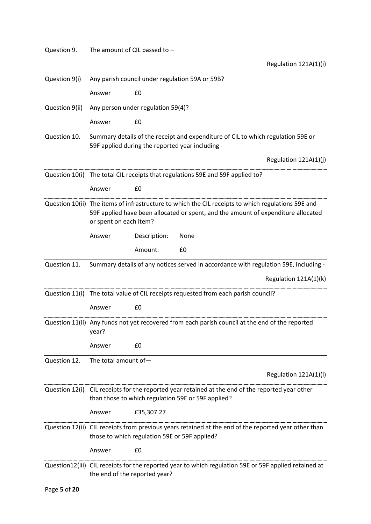| Question 9.    |                               | The amount of CIL passed to $-$                                                    |      |                                                                                                                                                                                         |
|----------------|-------------------------------|------------------------------------------------------------------------------------|------|-----------------------------------------------------------------------------------------------------------------------------------------------------------------------------------------|
|                |                               |                                                                                    |      | Regulation 121A(1)(i)                                                                                                                                                                   |
| Question 9(i)  |                               | Any parish council under regulation 59A or 59B?                                    |      |                                                                                                                                                                                         |
|                | Answer                        | £0                                                                                 |      |                                                                                                                                                                                         |
| Question 9(ii) |                               | Any person under regulation 59(4)?                                                 |      |                                                                                                                                                                                         |
|                | Answer                        | £0                                                                                 |      |                                                                                                                                                                                         |
| Question 10.   |                               | 59F applied during the reported year including -                                   |      | Summary details of the receipt and expenditure of CIL to which regulation 59E or                                                                                                        |
|                |                               |                                                                                    |      | Regulation 121A(1)(j)                                                                                                                                                                   |
|                |                               | Question 10(i) The total CIL receipts that regulations 59E and 59F applied to?     |      |                                                                                                                                                                                         |
|                | Answer                        | £0                                                                                 |      |                                                                                                                                                                                         |
|                | or spent on each item?        |                                                                                    |      | Question 10(ii) The items of infrastructure to which the CIL receipts to which regulations 59E and<br>59F applied have been allocated or spent, and the amount of expenditure allocated |
|                | Answer                        | Description:                                                                       | None |                                                                                                                                                                                         |
|                |                               | Amount:                                                                            | £0   |                                                                                                                                                                                         |
| Question 11.   |                               |                                                                                    |      | Summary details of any notices served in accordance with regulation 59E, including -                                                                                                    |
|                |                               |                                                                                    |      | Regulation 121A(1)(k)                                                                                                                                                                   |
|                |                               | Question 11(i) The total value of CIL receipts requested from each parish council? |      |                                                                                                                                                                                         |
|                | Answer                        | £0                                                                                 |      |                                                                                                                                                                                         |
|                | year?                         |                                                                                    |      | Question 11(ii) Any funds not yet recovered from each parish council at the end of the reported                                                                                         |
|                | Answer                        | £0                                                                                 |      |                                                                                                                                                                                         |
| Question 12.   | The total amount of-          |                                                                                    |      |                                                                                                                                                                                         |
|                |                               |                                                                                    |      | Regulation 121A(1)(I)                                                                                                                                                                   |
|                |                               | than those to which regulation 59E or 59F applied?                                 |      | Question 12(i) CIL receipts for the reported year retained at the end of the reported year other                                                                                        |
|                | Answer                        | £35,307.27                                                                         |      |                                                                                                                                                                                         |
|                |                               | those to which regulation 59E or 59F applied?                                      |      | Question 12(ii) CIL receipts from previous years retained at the end of the reported year other than                                                                                    |
|                | Answer                        | £0                                                                                 |      |                                                                                                                                                                                         |
|                | the end of the reported year? |                                                                                    |      | Question12(iii) CIL receipts for the reported year to which regulation 59E or 59F applied retained at                                                                                   |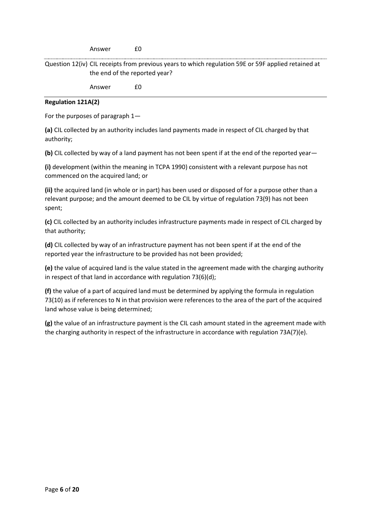Answer £0

Question 12(iv) CIL receipts from previous years to which regulation 59E or 59F applied retained at the end of the reported year?

Answer £0

#### **Regulation 121A(2)**

For the purposes of paragraph 1—

**(a)** CIL collected by an authority includes land payments made in respect of CIL charged by that authority;

**(b)** CIL collected by way of a land payment has not been spent if at the end of the reported year—

**(i)** development (within the meaning in TCPA 1990) consistent with a relevant purpose has not commenced on the acquired land; or

**(ii)** the acquired land (in whole or in part) has been used or disposed of for a purpose other than a relevant purpose; and the amount deemed to be CIL by virtue of regulation 73(9) has not been spent;

**(c)** CIL collected by an authority includes infrastructure payments made in respect of CIL charged by that authority;

**(d)** CIL collected by way of an infrastructure payment has not been spent if at the end of the reported year the infrastructure to be provided has not been provided;

**(e)** the value of acquired land is the value stated in the agreement made with the charging authority in respect of that land in accordance with regulation 73(6)(d);

**(f)** the value of a part of acquired land must be determined by applying the formula in regulation 73(10) as if references to N in that provision were references to the area of the part of the acquired land whose value is being determined;

**(g)** the value of an infrastructure payment is the CIL cash amount stated in the agreement made with the charging authority in respect of the infrastructure in accordance with regulation 73A(7)(e).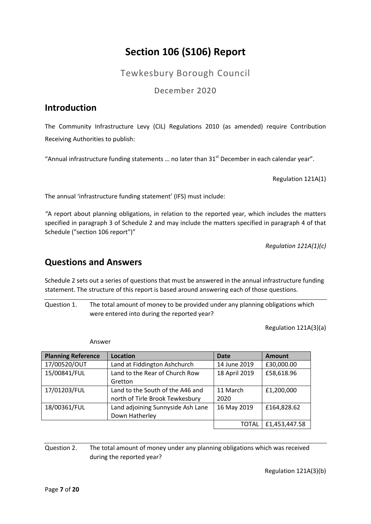## **Section 106 (S106) Report**

Tewkesbury Borough Council

December 2020

## <span id="page-6-1"></span><span id="page-6-0"></span>**Introduction**

The Community Infrastructure Levy (CIL) Regulations 2010 (as amended) require Contribution Receiving Authorities to publish:

"Annual infrastructure funding statements ... no later than  $31<sup>st</sup>$  December in each calendar year".

Regulation 121A(1)

The annual 'infrastructure funding statement' (IFS) must include:

*"*A report about planning obligations, in relation to the reported year, which includes the matters specified in paragraph 3 of Schedule 2 and may include the matters specified in paragraph 4 of that Schedule ("section 106 report")"

*Regulation 121A(1)(c)*

### <span id="page-6-2"></span>**Questions and Answers**

Schedule 2 sets out a series of questions that must be answered in the annual infrastructure funding statement. The structure of this report is based around answering each of those questions.

Question 1. The total amount of money to be provided under any planning obligations which were entered into during the reported year?

Regulation 121A(3)(a)

Answer

| <b>Planning Reference</b> | Location                          | <b>Date</b>   | <b>Amount</b> |
|---------------------------|-----------------------------------|---------------|---------------|
| 17/00520/OUT              | Land at Fiddington Ashchurch      | 14 June 2019  | £30,000.00    |
| 15/00841/FUL              | Land to the Rear of Church Row    | 18 April 2019 | £58,618.96    |
|                           | Gretton                           |               |               |
| 17/01203/FUL              | Land to the South of the A46 and  |               | £1,200,000    |
|                           | north of Tirle Brook Tewkesbury   | 2020          |               |
| 18/00361/FUL              | Land adjoining Sunnyside Ash Lane | 16 May 2019   | £164,828.62   |
|                           | Down Hatherley                    |               |               |
|                           |                                   | TOTAL         | £1,453,447.58 |

Question 2. The total amount of money under any planning obligations which was received during the reported year?

Regulation 121A(3)(b)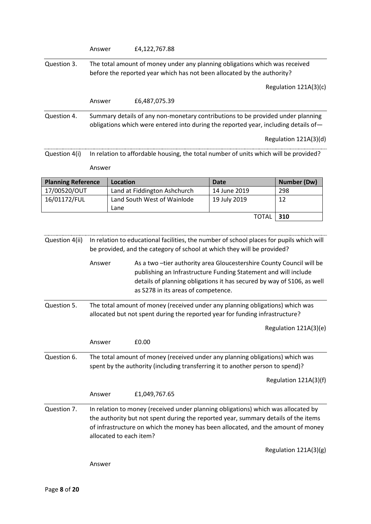|                               | Answer                                                                                                                                                                                                                                                                                 |                 | £4,122,767.88                                                                                                                                                                                                                                                                                                                                                                                                                                                                                                                                                                                   |              |                       |
|-------------------------------|----------------------------------------------------------------------------------------------------------------------------------------------------------------------------------------------------------------------------------------------------------------------------------------|-----------------|-------------------------------------------------------------------------------------------------------------------------------------------------------------------------------------------------------------------------------------------------------------------------------------------------------------------------------------------------------------------------------------------------------------------------------------------------------------------------------------------------------------------------------------------------------------------------------------------------|--------------|-----------------------|
| Question 3.                   |                                                                                                                                                                                                                                                                                        |                 | The total amount of money under any planning obligations which was received<br>before the reported year which has not been allocated by the authority?                                                                                                                                                                                                                                                                                                                                                                                                                                          |              |                       |
|                               |                                                                                                                                                                                                                                                                                        |                 |                                                                                                                                                                                                                                                                                                                                                                                                                                                                                                                                                                                                 |              | Regulation 121A(3)(c) |
|                               | Answer                                                                                                                                                                                                                                                                                 |                 | £6,487,075.39                                                                                                                                                                                                                                                                                                                                                                                                                                                                                                                                                                                   |              |                       |
| Question 4.                   |                                                                                                                                                                                                                                                                                        |                 | Summary details of any non-monetary contributions to be provided under planning<br>obligations which were entered into during the reported year, including details of-                                                                                                                                                                                                                                                                                                                                                                                                                          |              | Regulation 121A(3)(d) |
| Question 4(i)                 |                                                                                                                                                                                                                                                                                        |                 | In relation to affordable housing, the total number of units which will be provided?                                                                                                                                                                                                                                                                                                                                                                                                                                                                                                            |              |                       |
|                               | Answer                                                                                                                                                                                                                                                                                 |                 |                                                                                                                                                                                                                                                                                                                                                                                                                                                                                                                                                                                                 |              |                       |
| <b>Planning Reference</b>     |                                                                                                                                                                                                                                                                                        | <b>Location</b> |                                                                                                                                                                                                                                                                                                                                                                                                                                                                                                                                                                                                 | <b>Date</b>  | <b>Number (Dw)</b>    |
| 17/00520/OUT                  |                                                                                                                                                                                                                                                                                        |                 | Land at Fiddington Ashchurch                                                                                                                                                                                                                                                                                                                                                                                                                                                                                                                                                                    | 14 June 2019 | 298                   |
| 16/01172/FUL                  |                                                                                                                                                                                                                                                                                        | Lane            | Land South West of Wainlode                                                                                                                                                                                                                                                                                                                                                                                                                                                                                                                                                                     | 19 July 2019 | 12                    |
|                               |                                                                                                                                                                                                                                                                                        |                 |                                                                                                                                                                                                                                                                                                                                                                                                                                                                                                                                                                                                 | <b>TOTAL</b> | 310                   |
| Question 4(ii)<br>Question 5. | Answer                                                                                                                                                                                                                                                                                 |                 | In relation to educational facilities, the number of school places for pupils which will<br>be provided, and the category of school at which they will be provided?<br>As a two-tier authority area Gloucestershire County Council will be<br>publishing an Infrastructure Funding Statement and will include<br>details of planning obligations it has secured by way of S106, as well<br>as S278 in its areas of competence.<br>The total amount of money (received under any planning obligations) which was<br>allocated but not spent during the reported year for funding infrastructure? |              |                       |
|                               |                                                                                                                                                                                                                                                                                        |                 |                                                                                                                                                                                                                                                                                                                                                                                                                                                                                                                                                                                                 |              | Regulation 121A(3)(e) |
|                               | Answer                                                                                                                                                                                                                                                                                 |                 | £0.00                                                                                                                                                                                                                                                                                                                                                                                                                                                                                                                                                                                           |              |                       |
| Question 6.                   | The total amount of money (received under any planning obligations) which was<br>spent by the authority (including transferring it to another person to spend)?                                                                                                                        |                 |                                                                                                                                                                                                                                                                                                                                                                                                                                                                                                                                                                                                 |              |                       |
|                               |                                                                                                                                                                                                                                                                                        |                 |                                                                                                                                                                                                                                                                                                                                                                                                                                                                                                                                                                                                 |              | Regulation 121A(3)(f) |
|                               | Answer                                                                                                                                                                                                                                                                                 |                 | £1,049,767.65                                                                                                                                                                                                                                                                                                                                                                                                                                                                                                                                                                                   |              |                       |
| Question 7.                   | In relation to money (received under planning obligations) which was allocated by<br>the authority but not spent during the reported year, summary details of the items<br>of infrastructure on which the money has been allocated, and the amount of money<br>allocated to each item? |                 |                                                                                                                                                                                                                                                                                                                                                                                                                                                                                                                                                                                                 |              |                       |
|                               |                                                                                                                                                                                                                                                                                        |                 |                                                                                                                                                                                                                                                                                                                                                                                                                                                                                                                                                                                                 |              | Regulation 121A(3)(g) |
|                               | Answer                                                                                                                                                                                                                                                                                 |                 |                                                                                                                                                                                                                                                                                                                                                                                                                                                                                                                                                                                                 |              |                       |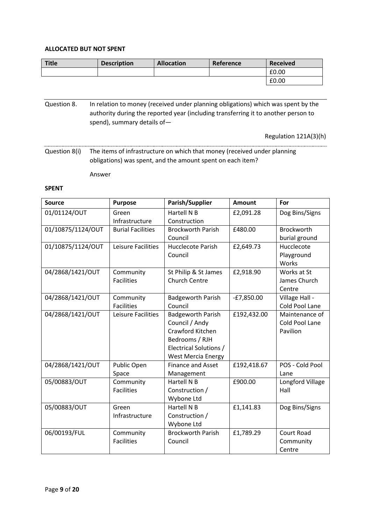#### **ALLOCATED BUT NOT SPENT**

| Title | <b>Description</b> | <b>Allocation</b> | Reference | <b>Received</b> |
|-------|--------------------|-------------------|-----------|-----------------|
|       |                    |                   |           | £0.00           |
|       |                    |                   |           | £0.00           |

Question 8. In relation to money (received under planning obligations) which was spent by the authority during the reported year (including transferring it to another person to spend), summary details of—

Regulation 121A(3)(h)

Question 8(i) The items of infrastructure on which that money (received under planning obligations) was spent, and the amount spent on each item?

Answer

#### **SPENT**

| <b>Source</b>     | <b>Purpose</b>                 | Parish/Supplier                                                                                                                         | <b>Amount</b> | For                                          |
|-------------------|--------------------------------|-----------------------------------------------------------------------------------------------------------------------------------------|---------------|----------------------------------------------|
| 01/01124/OUT      | Green<br>Infrastructure        | Hartell N B<br>Construction                                                                                                             | £2,091.28     | Dog Bins/Signs                               |
| 01/10875/1124/OUT | <b>Burial Facilities</b>       | <b>Brockworth Parish</b><br>Council                                                                                                     | £480.00       | <b>Brockworth</b><br>burial ground           |
| 01/10875/1124/OUT | Leisure Facilities             | Hucclecote Parish<br>Council                                                                                                            | £2,649.73     | Hucclecote<br>Playground<br>Works            |
| 04/2868/1421/OUT  | Community<br><b>Facilities</b> | St Philip & St James<br><b>Church Centre</b>                                                                                            | £2,918.90     | Works at St<br>James Church<br>Centre        |
| 04/2868/1421/OUT  | Community<br><b>Facilities</b> | <b>Badgeworth Parish</b><br>Council                                                                                                     | $-E7,850.00$  | Village Hall -<br>Cold Pool Lane             |
| 04/2868/1421/OUT  | Leisure Facilities             | <b>Badgeworth Parish</b><br>Council / Andy<br>Crawford Kitchen<br>Bedrooms / RJH<br>Electrical Solutions /<br><b>West Mercia Energy</b> | £192,432.00   | Maintenance of<br>Cold Pool Lane<br>Pavilion |
| 04/2868/1421/OUT  | Public Open<br>Space           | <b>Finance and Asset</b><br>Management                                                                                                  | £192,418.67   | POS - Cold Pool<br>Lane                      |
| 05/00883/OUT      | Community<br><b>Facilities</b> | Hartell N B<br>Construction /<br>Wybone Ltd                                                                                             | £900.00       | Longford Village<br>Hall                     |
| 05/00883/OUT      | Green<br>Infrastructure        | Hartell N B<br>Construction /<br>Wybone Ltd                                                                                             | £1,141.83     | Dog Bins/Signs                               |
| 06/00193/FUL      | Community<br><b>Facilities</b> | <b>Brockworth Parish</b><br>Council                                                                                                     | £1,789.29     | Court Road<br>Community<br>Centre            |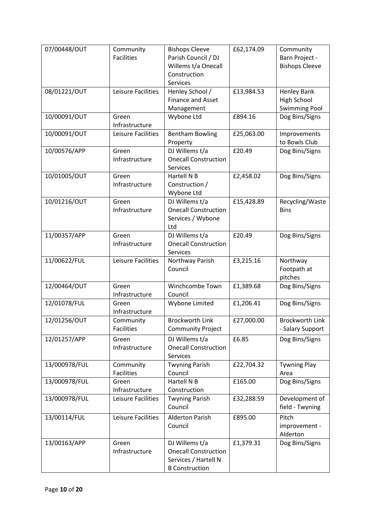| 07/00448/OUT  | Community<br><b>Facilities</b> | <b>Bishops Cleeve</b><br>Parish Council / DJ<br>Willems t/a Onecall<br>Construction<br><b>Services</b> | £62,174.09 | Community<br>Barn Project -<br><b>Bishops Cleeve</b>      |
|---------------|--------------------------------|--------------------------------------------------------------------------------------------------------|------------|-----------------------------------------------------------|
| 08/01221/OUT  | Leisure Facilities             | Henley School /<br><b>Finance and Asset</b><br>Management                                              | £13,984.53 | <b>Henley Bank</b><br>High School<br><b>Swimming Pool</b> |
| 10/00091/OUT  | Green<br>Infrastructure        | Wybone Ltd                                                                                             | £894.16    | Dog Bins/Signs                                            |
| 10/00091/OUT  | Leisure Facilities             | <b>Bentham Bowling</b><br>Property                                                                     | £25,063.00 | Improvements<br>to Bowls Club                             |
| 10/00576/APP  | Green<br>Infrastructure        | DJ Willems t/a<br><b>Onecall Construction</b><br><b>Services</b>                                       | £20.49     | Dog Bins/Signs                                            |
| 10/01005/OUT  | Green<br>Infrastructure        | Hartell N B<br>Construction /<br>Wybone Ltd                                                            | £2,458.02  | Dog Bins/Signs                                            |
| 10/01216/OUT  | Green<br>Infrastructure        | DJ Willems t/a<br><b>Onecall Construction</b><br>Services / Wybone<br>Ltd                              | £15,428.89 | Recycling/Waste<br><b>Bins</b>                            |
| 11/00357/APP  | Green<br>Infrastructure        | DJ Willems t/a<br><b>Onecall Construction</b><br>Services                                              | £20.49     | Dog Bins/Signs                                            |
| 11/00622/FUL  | Leisure Facilities             | Northway Parish<br>Council                                                                             | £3,215.16  | Northway<br>Footpath at<br>pitches                        |
| 12/00464/OUT  | Green<br>Infrastructure        | Winchcombe Town<br>Council                                                                             | £1,389.68  | Dog Bins/Signs                                            |
| 12/01078/FUL  | Green<br>Infrastructure        | Wybone Limited                                                                                         | £1,206.41  | Dog Bins/Signs                                            |
| 12/01256/OUT  | Community<br><b>Facilities</b> | <b>Brockworth Link</b><br><b>Community Project</b>                                                     | £27,000.00 | <b>Brockworth Link</b><br>- Salary Support                |
| 12/01257/APP  | Green<br>Infrastructure        | DJ Willems t/a<br><b>Onecall Construction</b><br>Services                                              | £6.85      | Dog Bins/Signs                                            |
| 13/000978/FUL | Community<br><b>Facilities</b> | <b>Twyning Parish</b><br>Council                                                                       | £22,704.32 | <b>Tywning Play</b><br>Area                               |
| 13/000978/FUL | Green<br>Infrastructure        | Hartell N B<br>Construction                                                                            | £165.00    | Dog Bins/Signs                                            |
| 13/000978/FUL | Leisure Facilities             | <b>Twyning Parish</b><br>Council                                                                       | £32,288.59 | Development of<br>field - Twyning                         |
| 13/00114/FUL  | Leisure Facilities             | <b>Alderton Parish</b><br>Council                                                                      | £895.00    | Pitch<br>improvement -<br>Alderton                        |
| 13/00163/APP  | Green<br>Infrastructure        | DJ Willems t/a<br><b>Onecall Construction</b><br>Services / Hartell N<br><b>B</b> Construction         | £1,379.31  | Dog Bins/Signs                                            |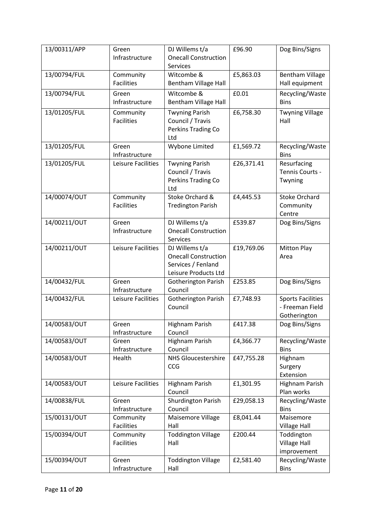| 13/00311/APP | Green<br>Infrastructure                                                       | DJ Willems t/a<br><b>Onecall Construction</b><br>Services                                   | £96.90     | Dog Bins/Signs                                              |
|--------------|-------------------------------------------------------------------------------|---------------------------------------------------------------------------------------------|------------|-------------------------------------------------------------|
| 13/00794/FUL | Community<br><b>Facilities</b>                                                | Witcombe &<br><b>Bentham Village Hall</b>                                                   | £5,863.03  | <b>Bentham Village</b><br>Hall equipment                    |
| 13/00794/FUL | Green<br>Infrastructure                                                       | Witcombe &<br><b>Bentham Village Hall</b>                                                   | £0.01      | Recycling/Waste<br><b>Bins</b>                              |
| 13/01205/FUL | Community<br><b>Facilities</b>                                                | <b>Twyning Parish</b><br>Council / Travis<br>Perkins Trading Co<br>Ltd                      | £6,758.30  | <b>Twyning Village</b><br>Hall                              |
| 13/01205/FUL | Green<br>Infrastructure                                                       | Wybone Limited                                                                              | £1,569.72  | Recycling/Waste<br><b>Bins</b>                              |
| 13/01205/FUL | Leisure Facilities                                                            | <b>Twyning Parish</b><br>Council / Travis<br>Perkins Trading Co<br>Ltd                      | £26,371.41 | Resurfacing<br>Tennis Courts -<br>Twyning                   |
| 14/00074/OUT | Community<br>Stoke Orchard &<br><b>Facilities</b><br><b>Tredington Parish</b> |                                                                                             | £4,445.53  | <b>Stoke Orchard</b><br>Community<br>Centre                 |
| 14/00211/OUT | Green<br>Infrastructure                                                       | DJ Willems t/a<br><b>Onecall Construction</b><br><b>Services</b>                            | £539.87    | Dog Bins/Signs                                              |
| 14/00211/OUT | Leisure Facilities                                                            | DJ Willems t/a<br><b>Onecall Construction</b><br>Services / Fenland<br>Leisure Products Ltd | £19,769.06 | <b>Mitton Play</b><br>Area                                  |
| 14/00432/FUL | Green<br>Infrastructure                                                       | Gotherington Parish<br>Council                                                              | £253.85    | Dog Bins/Signs                                              |
| 14/00432/FUL | Leisure Facilities                                                            | <b>Gotherington Parish</b><br>Council                                                       | £7,748.93  | <b>Sports Facilities</b><br>- Freeman Field<br>Gotherington |
| 14/00583/OUT | Green<br>Infrastructure                                                       | <b>Highnam Parish</b><br>Council                                                            | £417.38    | Dog Bins/Signs                                              |
| 14/00583/OUT | Green<br>Infrastructure                                                       | Highnam Parish<br>Council                                                                   | £4,366.77  | Recycling/Waste<br><b>Bins</b>                              |
| 14/00583/OUT | Health                                                                        | <b>NHS Gloucestershire</b><br>CCG                                                           | £47,755.28 | Highnam<br>Surgery<br>Extension                             |
| 14/00583/OUT | Leisure Facilities                                                            | Highnam Parish<br>Council                                                                   | £1,301.95  | Highnam Parish<br>Plan works                                |
| 14/00838/FUL | Green<br>Infrastructure                                                       | <b>Shurdington Parish</b><br>Council                                                        | £29,058.13 | Recycling/Waste<br><b>Bins</b>                              |
| 15/00131/OUT | Community<br><b>Facilities</b>                                                | Maisemore Village<br>Hall                                                                   | £8,041.44  | Maisemore<br><b>Village Hall</b>                            |
| 15/00394/OUT | Community<br><b>Facilities</b>                                                | <b>Toddington Village</b><br>Hall                                                           | £200.44    | Toddington<br><b>Village Hall</b><br>improvement            |
| 15/00394/OUT | Green<br>Infrastructure                                                       | <b>Toddington Village</b><br>Hall                                                           | £2,581.40  | Recycling/Waste<br><b>Bins</b>                              |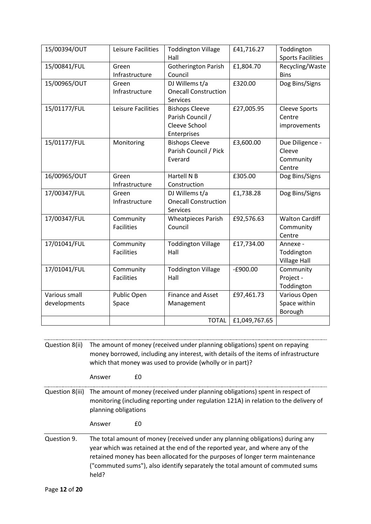| 15/00394/OUT         | Leisure Facilities | <b>Toddington Village</b>   | £41,716.27    | Toddington               |
|----------------------|--------------------|-----------------------------|---------------|--------------------------|
|                      |                    | Hall                        |               | <b>Sports Facilities</b> |
| 15/00841/FUL         | Green              | <b>Gotherington Parish</b>  | £1,804.70     | Recycling/Waste          |
|                      | Infrastructure     | Council                     |               | <b>Bins</b>              |
| 15/00965/OUT         | Green              | DJ Willems t/a              | £320.00       | Dog Bins/Signs           |
|                      | Infrastructure     | <b>Onecall Construction</b> |               |                          |
|                      |                    | <b>Services</b>             |               |                          |
| 15/01177/FUL         | Leisure Facilities | <b>Bishops Cleeve</b>       | £27,005.95    | <b>Cleeve Sports</b>     |
|                      |                    | Parish Council /            |               | Centre                   |
|                      |                    | Cleeve School               |               | improvements             |
|                      |                    | Enterprises                 |               |                          |
| 15/01177/FUL         | Monitoring         | <b>Bishops Cleeve</b>       | £3,600.00     | Due Diligence -          |
|                      |                    | Parish Council / Pick       |               | Cleeve                   |
|                      |                    | Everard                     |               | Community                |
|                      |                    |                             |               | Centre                   |
| 16/00965/OUT         | Green              | Hartell N B                 | £305.00       | Dog Bins/Signs           |
|                      | Infrastructure     | Construction                |               |                          |
| 17/00347/FUL         | Green              | DJ Willems t/a              | £1,738.28     | Dog Bins/Signs           |
|                      | Infrastructure     | <b>Onecall Construction</b> |               |                          |
|                      |                    | <b>Services</b>             |               |                          |
| 17/00347/FUL         | Community          | <b>Wheatpieces Parish</b>   | £92,576.63    | <b>Walton Cardiff</b>    |
|                      | <b>Facilities</b>  | Council                     |               | Community                |
|                      |                    |                             |               | Centre                   |
| 17/01041/FUL         | Community          | <b>Toddington Village</b>   | £17,734.00    | Annexe -                 |
|                      | <b>Facilities</b>  | Hall                        |               | Toddington               |
|                      |                    |                             |               | <b>Village Hall</b>      |
| 17/01041/FUL         | Community          | <b>Toddington Village</b>   | $-£900.00$    | Community                |
|                      | <b>Facilities</b>  | Hall                        |               | Project -                |
|                      |                    |                             |               | Toddington               |
| <b>Various small</b> | Public Open        | <b>Finance and Asset</b>    | £97,461.73    | Various Open             |
| developments         | Space              | Management                  |               | Space within             |
|                      |                    |                             |               | Borough                  |
|                      |                    | <b>TOTAL</b>                | £1,049,767.65 |                          |

Question 8(ii) The amount of money (received under planning obligations) spent on repaying money borrowed, including any interest, with details of the items of infrastructure which that money was used to provide (wholly or in part)?

Answer £0

Question 8(iii) The amount of money (received under planning obligations) spent in respect of monitoring (including reporting under regulation 121A) in relation to the delivery of planning obligations

Answer £0

Question 9. The total amount of money (received under any planning obligations) during any year which was retained at the end of the reported year, and where any of the retained money has been allocated for the purposes of longer term maintenance ("commuted sums"), also identify separately the total amount of commuted sums held?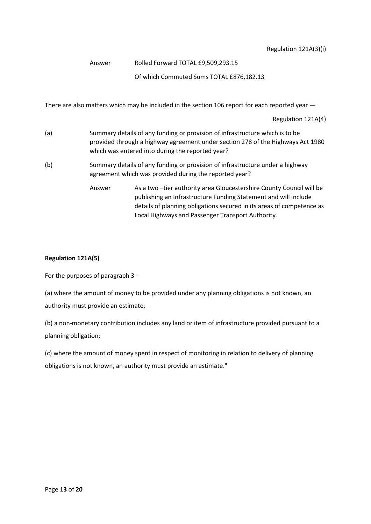Regulation 121A(3)(i)

Answer Rolled Forward TOTAL £9,509,293.15

Of which Commuted Sums TOTAL £876,182.13

There are also matters which may be included in the section 106 report for each reported year  $-$ 

Regulation 121A(4)

- (a) Summary details of any funding or provision of infrastructure which is to be provided through a highway agreement under section 278 of the Highways Act 1980 which was entered into during the reported year?
- (b) Summary details of any funding or provision of infrastructure under a highway agreement which was provided during the reported year?
	- Answer As a two –tier authority area Gloucestershire County Council will be publishing an Infrastructure Funding Statement and will include details of planning obligations secured in its areas of competence as Local Highways and Passenger Transport Authority.

#### **Regulation 121A(5)**

For the purposes of paragraph 3 -

(a) where the amount of money to be provided under any planning obligations is not known, an authority must provide an estimate;

(b) a non-monetary contribution includes any land or item of infrastructure provided pursuant to a planning obligation;

(c) where the amount of money spent in respect of monitoring in relation to delivery of planning obligations is not known, an authority must provide an estimate."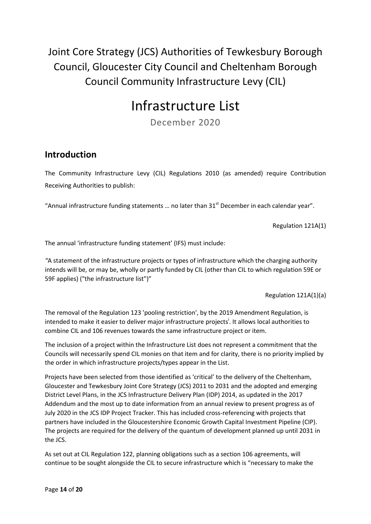<span id="page-13-0"></span>Joint Core Strategy (JCS) Authorities of Tewkesbury Borough Council, Gloucester City Council and Cheltenham Borough Council Community Infrastructure Levy (CIL)

## Infrastructure List

December 2020

#### **Introduction**

The Community Infrastructure Levy (CIL) Regulations 2010 (as amended) require Contribution Receiving Authorities to publish:

"Annual infrastructure funding statements ... no later than  $31<sup>st</sup>$  December in each calendar year".

Regulation 121A(1)

The annual 'infrastructure funding statement' (IFS) must include:

*"*A statement of the infrastructure projects or types of infrastructure which the charging authority intends will be, or may be, wholly or partly funded by CIL (other than CIL to which regulation 59E or 59F applies) ("the infrastructure list")"

Regulation 121A(1)(a)

The removal of the Regulation 123 'pooling restriction', by the 2019 Amendment Regulation, is intended to make it easier to deliver major infrastructure projects<sup>i</sup>. It allows local authorities to combine CIL and 106 revenues towards the same infrastructure project or item.

The inclusion of a project within the Infrastructure List does not represent a commitment that the Councils will necessarily spend CIL monies on that item and for clarity, there is no priority implied by the order in which infrastructure projects/types appear in the List.

Projects have been selected from those identified as 'critical' to the delivery of the Cheltenham, Gloucester and Tewkesbury Joint Core Strategy (JCS) 2011 to 2031 and the adopted and emerging District Level Plans, in the JCS Infrastructure Delivery Plan (IDP) 2014, as updated in the 2017 Addendum and the most up to date information from an annual review to present progress as of July 2020 in the JCS IDP Project Tracker. This has included cross-referencing with projects that partners have included in the Gloucestershire Economic Growth Capital Investment Pipeline (CIP). The projects are required for the delivery of the quantum of development planned up until 2031 in the JCS.

As set out at CIL Regulation 122, planning obligations such as a section 106 agreements, will continue to be sought alongside the CIL to secure infrastructure which is "necessary to make the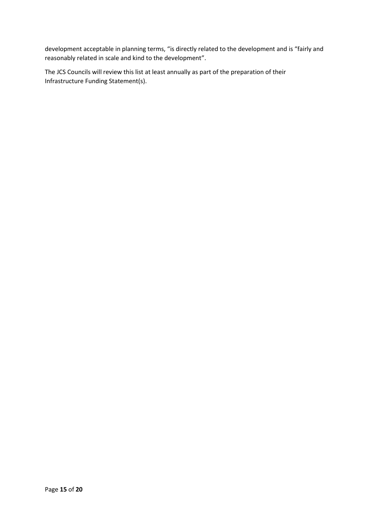development acceptable in planning terms, "is directly related to the development and is "fairly and reasonably related in scale and kind to the development".

The JCS Councils will review this list at least annually as part of the preparation of their Infrastructure Funding Statement(s).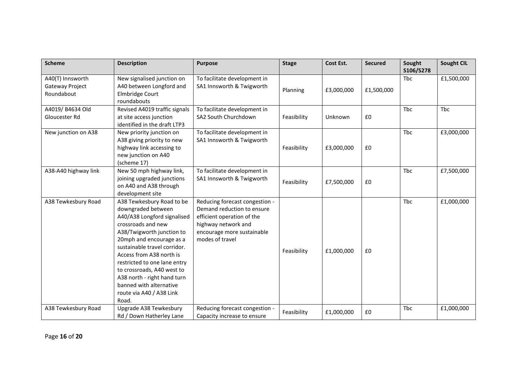| <b>Scheme</b>                                     | <b>Description</b>                                                                                                                                                                                                                                                                                                                                                                     | <b>Purpose</b>                                                                                                                                                     | <b>Stage</b> | Cost Est.  | <b>Secured</b> | Sought<br>S106/S278 | <b>Sought CIL</b> |
|---------------------------------------------------|----------------------------------------------------------------------------------------------------------------------------------------------------------------------------------------------------------------------------------------------------------------------------------------------------------------------------------------------------------------------------------------|--------------------------------------------------------------------------------------------------------------------------------------------------------------------|--------------|------------|----------------|---------------------|-------------------|
| A40(T) Innsworth<br>Gateway Project<br>Roundabout | New signalised junction on<br>A40 between Longford and<br><b>Elmbridge Court</b><br>roundabouts                                                                                                                                                                                                                                                                                        | To facilitate development in<br>SA1 Innsworth & Twigworth                                                                                                          | Planning     | £3,000,000 | £1,500,000     | Tbc                 | £1,500,000        |
| A4019/ B4634 Old<br>Gloucester Rd                 | Revised A4019 traffic signals<br>at site access junction<br>identified in the draft LTP3                                                                                                                                                                                                                                                                                               | To facilitate development in<br>SA2 South Churchdown                                                                                                               | Feasibility  | Unknown    | £0             | Tbc                 | Tbc               |
| New junction on A38                               | New priority junction on<br>A38 giving priority to new<br>highway link accessing to<br>new junction on A40<br>(scheme 17)                                                                                                                                                                                                                                                              | To facilitate development in<br>SA1 Innsworth & Twigworth                                                                                                          | Feasibility  | £3,000,000 | £0             | Tbc                 | £3,000,000        |
| A38-A40 highway link                              | New 50 mph highway link,<br>joining upgraded junctions<br>on A40 and A38 through<br>development site                                                                                                                                                                                                                                                                                   | To facilitate development in<br>SA1 Innsworth & Twigworth                                                                                                          | Feasibility  | £7,500,000 | £0             | Tbc                 | £7,500,000        |
| A38 Tewkesbury Road                               | A38 Tewkesbury Road to be<br>downgraded between<br>A40/A38 Longford signalised<br>crossroads and new<br>A38/Twigworth junction to<br>20mph and encourage as a<br>sustainable travel corridor.<br>Access from A38 north is<br>restricted to one lane entry<br>to crossroads, A40 west to<br>A38 north - right hand turn<br>banned with alternative<br>route via A40 / A38 Link<br>Road. | Reducing forecast congestion -<br>Demand reduction to ensure<br>efficient operation of the<br>highway network and<br>encourage more sustainable<br>modes of travel | Feasibility  | £1,000,000 | £0             | Tbc                 | £1,000,000        |
| A38 Tewkesbury Road                               | Upgrade A38 Tewkesbury<br>Rd / Down Hatherley Lane                                                                                                                                                                                                                                                                                                                                     | Reducing forecast congestion -<br>Capacity increase to ensure                                                                                                      | Feasibility  | £1,000,000 | £0             | <b>Tbc</b>          | £1,000,000        |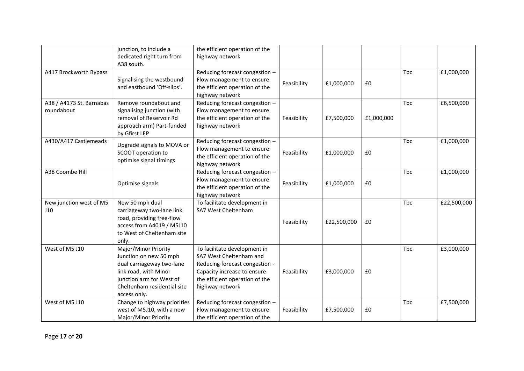|                                        | junction, to include a<br>dedicated right turn from<br>A38 south.                                                                                                               | the efficient operation of the<br>highway network                                                                                                                             |             |             |            |     |             |
|----------------------------------------|---------------------------------------------------------------------------------------------------------------------------------------------------------------------------------|-------------------------------------------------------------------------------------------------------------------------------------------------------------------------------|-------------|-------------|------------|-----|-------------|
| A417 Brockworth Bypass                 | Signalising the westbound<br>and eastbound 'Off-slips'.                                                                                                                         | Reducing forecast congestion -<br>Flow management to ensure<br>the efficient operation of the<br>highway network                                                              | Feasibility | £1,000,000  | £0         | Tbc | £1,000,000  |
| A38 / A4173 St. Barnabas<br>roundabout | Remove roundabout and<br>signalising junction (with<br>removal of Reservoir Rd<br>approach arm) Part-funded<br>by Gfirst LEP                                                    | Reducing forecast congestion -<br>Flow management to ensure<br>the efficient operation of the<br>highway network                                                              | Feasibility | £7,500,000  | £1,000,000 | Tbc | £6,500,000  |
| A430/A417 Castlemeads                  | Upgrade signals to MOVA or<br>SCOOT operation to<br>optimise signal timings                                                                                                     | Reducing forecast congestion -<br>Flow management to ensure<br>the efficient operation of the<br>highway network                                                              | Feasibility | £1,000,000  | £0         | Tbc | £1,000,000  |
| A38 Coombe Hill                        | Optimise signals                                                                                                                                                                | Reducing forecast congestion -<br>Flow management to ensure<br>the efficient operation of the<br>highway network                                                              | Feasibility | £1,000,000  | £0         | Tbc | £1,000,000  |
| New junction west of M5<br>J10         | New 50 mph dual<br>carriageway two-lane link<br>road, providing free-flow<br>access from A4019 / M5J10<br>to West of Cheltenham site<br>only.                                   | To facilitate development in<br>SA7 West Cheltenham                                                                                                                           | Feasibility | £22,500,000 | £0         | Tbc | £22,500,000 |
| West of M5 J10                         | Major/Minor Priority<br>Junction on new 50 mph<br>dual carriageway two-lane<br>link road, with Minor<br>junction arm for West of<br>Cheltenham residential site<br>access only. | To facilitate development in<br>SA7 West Cheltenham and<br>Reducing forecast congestion -<br>Capacity increase to ensure<br>the efficient operation of the<br>highway network | Feasibility | £3,000,000  | £0         | Tbc | £3,000,000  |
| West of M5 J10                         | Change to highway priorities<br>west of M5J10, with a new<br>Major/Minor Priority                                                                                               | Reducing forecast congestion -<br>Flow management to ensure<br>the efficient operation of the                                                                                 | Feasibility | £7,500,000  | £0         | Tbc | £7,500,000  |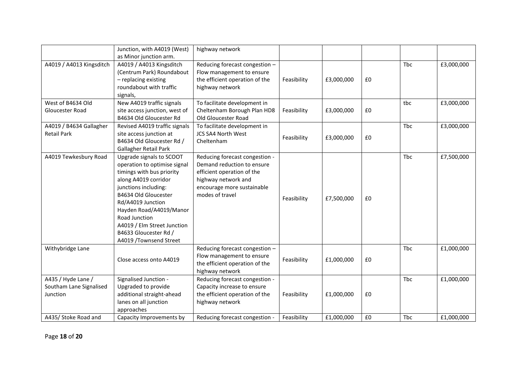|                          | Junction, with A4019 (West)   | highway network                |             |            |    |            |            |
|--------------------------|-------------------------------|--------------------------------|-------------|------------|----|------------|------------|
|                          | as Minor junction arm.        |                                |             |            |    |            |            |
| A4019 / A4013 Kingsditch | A4019 / A4013 Kingsditch      | Reducing forecast congestion - |             |            |    | Tbc        | £3,000,000 |
|                          | (Centrum Park) Roundabout     | Flow management to ensure      |             |            |    |            |            |
|                          | - replacing existing          | the efficient operation of the | Feasibility | £3,000,000 | £0 |            |            |
|                          | roundabout with traffic       | highway network                |             |            |    |            |            |
|                          | signals,                      |                                |             |            |    |            |            |
| West of B4634 Old        | New A4019 traffic signals     | To facilitate development in   |             |            |    | tbc        | £3,000,000 |
| Gloucester Road          | site access junction, west of | Cheltenham Borough Plan HD8    | Feasibility | £3,000,000 | £0 |            |            |
|                          | B4634 Old Gloucester Rd       | Old Gloucester Road            |             |            |    |            |            |
| A4019 / B4634 Gallagher  | Revised A4019 traffic signals | To facilitate development in   |             |            |    | <b>Tbc</b> | £3,000,000 |
| <b>Retail Park</b>       | site access junction at       | <b>JCS SA4 North West</b>      |             |            |    |            |            |
|                          | B4634 Old Gloucester Rd /     | Cheltenham                     | Feasibility | £3,000,000 | £0 |            |            |
|                          | Gallagher Retail Park         |                                |             |            |    |            |            |
| A4019 Tewkesbury Road    | Upgrade signals to SCOOT      | Reducing forecast congestion - |             |            |    | Tbc        | £7,500,000 |
|                          | operation to optimise signal  | Demand reduction to ensure     |             |            |    |            |            |
|                          | timings with bus priority     | efficient operation of the     |             |            |    |            |            |
|                          | along A4019 corridor          | highway network and            |             |            |    |            |            |
|                          | junctions including:          | encourage more sustainable     |             |            |    |            |            |
|                          | B4634 Old Gloucester          | modes of travel                |             |            |    |            |            |
|                          | Rd/A4019 Junction             |                                | Feasibility | £7,500,000 | £0 |            |            |
|                          | Hayden Road/A4019/Manor       |                                |             |            |    |            |            |
|                          | Road Junction                 |                                |             |            |    |            |            |
|                          | A4019 / Elm Street Junction   |                                |             |            |    |            |            |
|                          | B4633 Gloucester Rd /         |                                |             |            |    |            |            |
|                          | A4019 /Townsend Street        |                                |             |            |    |            |            |
| Withybridge Lane         |                               | Reducing forecast congestion - |             |            |    | <b>Tbc</b> | £1,000,000 |
|                          |                               | Flow management to ensure      |             |            |    |            |            |
|                          | Close access onto A4019       | the efficient operation of the | Feasibility | £1,000,000 | £0 |            |            |
|                          |                               | highway network                |             |            |    |            |            |
| A435 / Hyde Lane /       | Signalised Junction -         | Reducing forecast congestion - |             |            |    | Tbc        | £1,000,000 |
| Southam Lane Signalised  | Upgraded to provide           | Capacity increase to ensure    |             |            |    |            |            |
| Junction                 | additional straight-ahead     | the efficient operation of the | Feasibility | £1,000,000 | £0 |            |            |
|                          | lanes on all junction         | highway network                |             |            |    |            |            |
|                          | approaches                    |                                |             |            |    |            |            |
| A435/ Stoke Road and     | Capacity Improvements by      | Reducing forecast congestion - | Feasibility | £1,000,000 | £0 | Tbc        | £1,000,000 |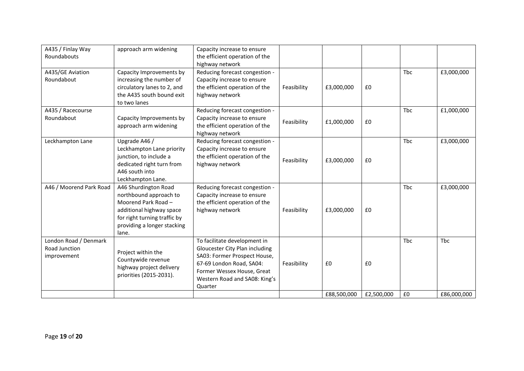| A435 / Finlay Way<br>Roundabouts                      | approach arm widening                                                                                                                                                     | Capacity increase to ensure<br>the efficient operation of the<br>highway network                                                                                                                     |             |             |            |     |             |
|-------------------------------------------------------|---------------------------------------------------------------------------------------------------------------------------------------------------------------------------|------------------------------------------------------------------------------------------------------------------------------------------------------------------------------------------------------|-------------|-------------|------------|-----|-------------|
| A435/GE Aviation<br>Roundabout                        | Capacity Improvements by<br>increasing the number of<br>circulatory lanes to 2, and<br>the A435 south bound exit<br>to two lanes                                          | Reducing forecast congestion -<br>Capacity increase to ensure<br>the efficient operation of the<br>highway network                                                                                   | Feasibility | £3,000,000  | £0         | Tbc | £3,000,000  |
| A435 / Racecourse<br>Roundabout                       | Capacity Improvements by<br>approach arm widening                                                                                                                         | Reducing forecast congestion -<br>Capacity increase to ensure<br>the efficient operation of the<br>highway network                                                                                   | Feasibility | £1,000,000  | £0         | Tbc | £1,000,000  |
| Leckhampton Lane                                      | Upgrade A46 /<br>Leckhampton Lane priority<br>junction, to include a<br>dedicated right turn from<br>A46 south into<br>Leckhampton Lane.                                  | Reducing forecast congestion -<br>Capacity increase to ensure<br>the efficient operation of the<br>highway network                                                                                   | Feasibility | £3,000,000  | £0         | Tbc | £3,000,000  |
| A46 / Moorend Park Road                               | A46 Shurdington Road<br>northbound approach to<br>Moorend Park Road -<br>additional highway space<br>for right turning traffic by<br>providing a longer stacking<br>lane. | Reducing forecast congestion -<br>Capacity increase to ensure<br>the efficient operation of the<br>highway network                                                                                   | Feasibility | £3,000,000  | £0         | Tbc | £3,000,000  |
| London Road / Denmark<br>Road Junction<br>improvement | Project within the<br>Countywide revenue<br>highway project delivery<br>priorities (2015-2031).                                                                           | To facilitate development in<br>Gloucester City Plan including<br>SA03: Former Prospect House,<br>67-69 London Road, SA04:<br>Former Wessex House, Great<br>Western Road and SA08: King's<br>Quarter | Feasibility | £0          | £0         | Tbc | Tbc         |
|                                                       |                                                                                                                                                                           |                                                                                                                                                                                                      |             | £88,500,000 | £2,500,000 | £0  | £86,000,000 |